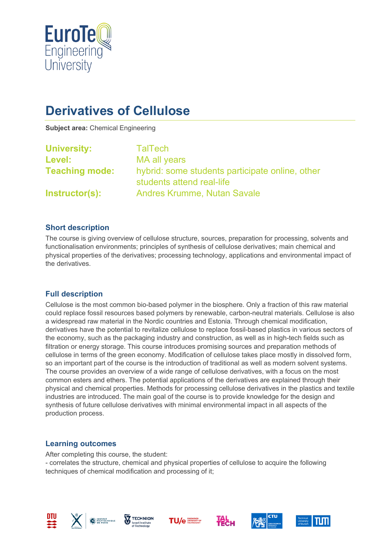

# **Derivatives of Cellulose**

**Subject area:** Chemical Engineering

| <b>University:</b>    | <b>TalTech</b>                                                               |
|-----------------------|------------------------------------------------------------------------------|
| Level:                | MA all years                                                                 |
| <b>Teaching mode:</b> | hybrid: some students participate online, other<br>students attend real-life |
| Instructor(s):        | <b>Andres Krumme, Nutan Savale</b>                                           |

### **Short description**

The course is giving overview of cellulose structure, sources, preparation for processing, solvents and functionalisation environments; principles of synthesis of cellulose derivatives; main chemical and physical properties of the derivatives; processing technology, applications and environmental impact of the derivatives.

### **Full description**

Cellulose is the most common bio-based polymer in the biosphere. Only a fraction of this raw material could replace fossil resources based polymers by renewable, carbon-neutral materials. Cellulose is also a widespread raw material in the Nordic countries and Estonia. Through chemical modification, derivatives have the potential to revitalize cellulose to replace fossil-based plastics in various sectors of the economy, such as the packaging industry and construction, as well as in high-tech fields such as filtration or energy storage. This course introduces promising sources and preparation methods of cellulose in terms of the green economy. Modification of cellulose takes place mostly in dissolved form, so an important part of the course is the introduction of traditional as well as modern solvent systems. The course provides an overview of a wide range of cellulose derivatives, with a focus on the most common esters and ethers. The potential applications of the derivatives are explained through their physical and chemical properties. Methods for processing cellulose derivatives in the plastics and textile industries are introduced. The main goal of the course is to provide knowledge for the design and synthesis of future cellulose derivatives with minimal environmental impact in all aspects of the production process.

### **Learning outcomes**

After completing this course, the student: - correlates the structure, chemical and physical properties of cellulose to acquire the following techniques of chemical modification and processing of it;













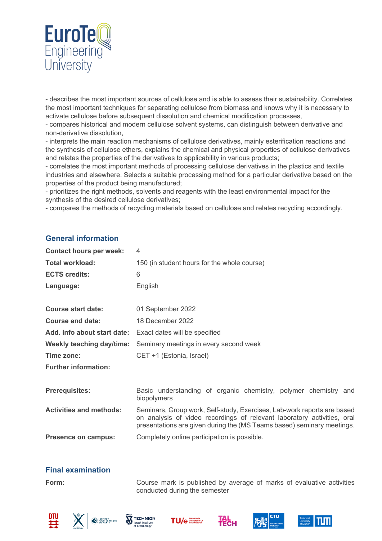

- describes the most important sources of cellulose and is able to assess their sustainability. Correlates the most important techniques for separating cellulose from biomass and knows why it is necessary to activate cellulose before subsequent dissolution and chemical modification processes,

- compares historical and modern cellulose solvent systems, can distinguish between derivative and non-derivative dissolution,

- interprets the main reaction mechanisms of cellulose derivatives, mainly esterification reactions and the synthesis of cellulose ethers, explains the chemical and physical properties of cellulose derivatives and relates the properties of the derivatives to applicability in various products;

- correlates the most important methods of processing cellulose derivatives in the plastics and textile industries and elsewhere. Selects a suitable processing method for a particular derivative based on the properties of the product being manufactured;

- prioritizes the right methods, solvents and reagents with the least environmental impact for the synthesis of the desired cellulose derivatives;

- compares the methods of recycling materials based on cellulose and relates recycling accordingly.

### **General information**

| <b>Contact hours per week:</b> | 4                                                                                                                                                                                                                            |
|--------------------------------|------------------------------------------------------------------------------------------------------------------------------------------------------------------------------------------------------------------------------|
| Total workload:                | 150 (in student hours for the whole course)                                                                                                                                                                                  |
| <b>ECTS credits:</b>           | 6                                                                                                                                                                                                                            |
| Language:                      | English                                                                                                                                                                                                                      |
|                                |                                                                                                                                                                                                                              |
| <b>Course start date:</b>      | 01 September 2022                                                                                                                                                                                                            |
| <b>Course end date:</b>        | 18 December 2022                                                                                                                                                                                                             |
| Add. info about start date:    | Exact dates will be specified                                                                                                                                                                                                |
| Weekly teaching day/time:      | Seminary meetings in every second week                                                                                                                                                                                       |
| Time zone:                     | CET +1 (Estonia, Israel)                                                                                                                                                                                                     |
| <b>Further information:</b>    |                                                                                                                                                                                                                              |
| <b>Prerequisites:</b>          | Basic understanding of organic chemistry, polymer chemistry and<br>biopolymers                                                                                                                                               |
| <b>Activities and methods:</b> | Seminars, Group work, Self-study, Exercises, Lab-work reports are based<br>on analysis of video recordings of relevant laboratory activities, oral<br>presentations are given during the (MS Teams based) seminary meetings. |
| <b>Presence on campus:</b>     | Completely online participation is possible.                                                                                                                                                                                 |

### **Final examination**

**Form:** Course mark is published by average of marks of evaluative activities conducted during the semester